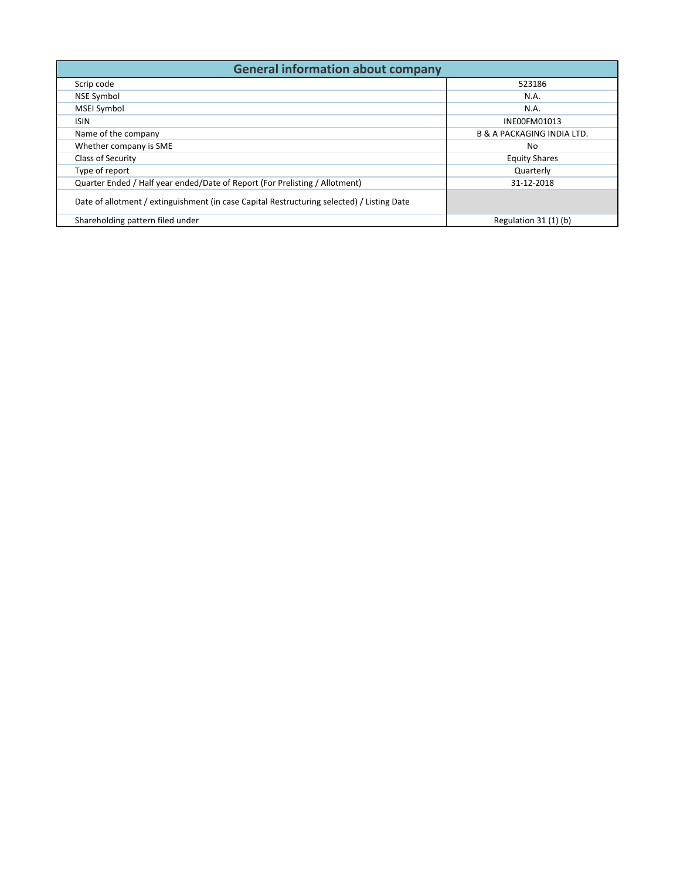| <b>General information about company</b>                                                   |                                       |  |  |  |  |  |  |  |  |  |  |
|--------------------------------------------------------------------------------------------|---------------------------------------|--|--|--|--|--|--|--|--|--|--|
| Scrip code                                                                                 | 523186                                |  |  |  |  |  |  |  |  |  |  |
| <b>NSE Symbol</b>                                                                          | N.A.                                  |  |  |  |  |  |  |  |  |  |  |
| <b>MSEI Symbol</b>                                                                         | N.A.                                  |  |  |  |  |  |  |  |  |  |  |
| <b>ISIN</b>                                                                                | INE00FM01013                          |  |  |  |  |  |  |  |  |  |  |
| Name of the company                                                                        | <b>B &amp; A PACKAGING INDIA LTD.</b> |  |  |  |  |  |  |  |  |  |  |
| Whether company is SME                                                                     | No.                                   |  |  |  |  |  |  |  |  |  |  |
| Class of Security                                                                          | <b>Equity Shares</b>                  |  |  |  |  |  |  |  |  |  |  |
| Type of report                                                                             | Quarterly                             |  |  |  |  |  |  |  |  |  |  |
| Quarter Ended / Half year ended/Date of Report (For Prelisting / Allotment)                | 31-12-2018                            |  |  |  |  |  |  |  |  |  |  |
| Date of allotment / extinguishment (in case Capital Restructuring selected) / Listing Date |                                       |  |  |  |  |  |  |  |  |  |  |
| Shareholding pattern filed under                                                           | Regulation 31 (1) (b)                 |  |  |  |  |  |  |  |  |  |  |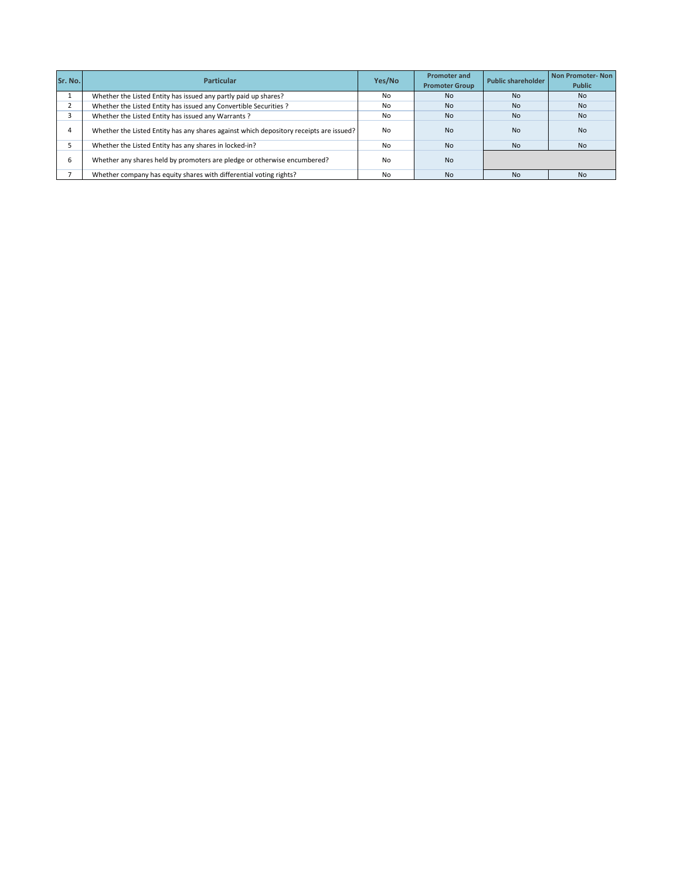| Sr. No. | <b>Particular</b>                                                                      | Yes/No         | <b>Promoter and</b><br><b>Promoter Group</b> | <b>Public shareholder</b> | Non Promoter-Non<br><b>Public</b> |
|---------|----------------------------------------------------------------------------------------|----------------|----------------------------------------------|---------------------------|-----------------------------------|
|         | Whether the Listed Entity has issued any partly paid up shares?                        | No             | <b>No</b>                                    | <b>No</b>                 | <b>No</b>                         |
|         | Whether the Listed Entity has issued any Convertible Securities ?                      | No             | <b>No</b>                                    | <b>No</b>                 | <b>No</b>                         |
|         | Whether the Listed Entity has issued any Warrants?                                     | N <sub>0</sub> | <b>No</b>                                    | <b>No</b>                 | <b>No</b>                         |
|         | Whether the Listed Entity has any shares against which depository receipts are issued? | No.            | <b>No</b>                                    | <b>No</b>                 | <b>No</b>                         |
|         | Whether the Listed Entity has any shares in locked-in?                                 | N <sub>0</sub> | <b>No</b>                                    | <b>No</b>                 | <b>No</b>                         |
|         | Whether any shares held by promoters are pledge or otherwise encumbered?               | No             | <b>No</b>                                    |                           |                                   |
|         | Whether company has equity shares with differential voting rights?                     | No             | <b>No</b>                                    | <b>No</b>                 | <b>No</b>                         |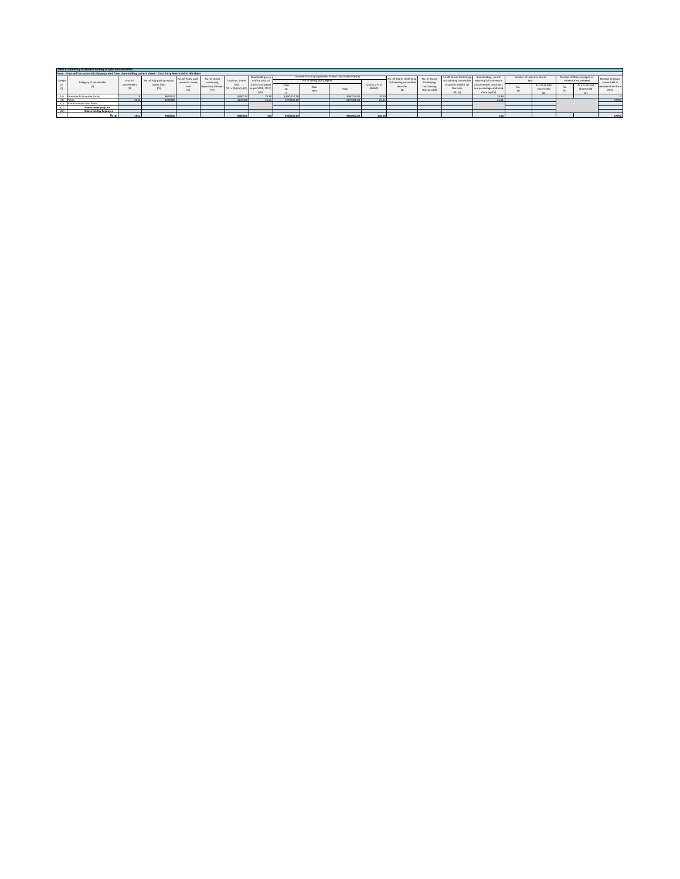|        | Table I - Summary Statement holding of specified securities                                                       |                     |                             |                                         |                                 |                   |                                                                           |                |                           |                                |                              |                                                     |                              |                                                                              |                                                                                                   |                            |                                |                                                     |                                |                                    |
|--------|-------------------------------------------------------------------------------------------------------------------|---------------------|-----------------------------|-----------------------------------------|---------------------------------|-------------------|---------------------------------------------------------------------------|----------------|---------------------------|--------------------------------|------------------------------|-----------------------------------------------------|------------------------------|------------------------------------------------------------------------------|---------------------------------------------------------------------------------------------------|----------------------------|--------------------------------|-----------------------------------------------------|--------------------------------|------------------------------------|
|        | Note : Data will be automatically populated from shareholding pattern sheet - Data Entry Restricted in this sheet |                     |                             |                                         |                                 |                   |                                                                           |                |                           |                                |                              |                                                     |                              |                                                                              |                                                                                                   |                            |                                |                                                     |                                |                                    |
| Catego | Category of shareholder                                                                                           | Nos. O              | No. of fully paid up equity | No. Of Partly paid-<br>up equity shares | No. Of shares<br>underlying     | Total nos, shares | Shareholding as a<br>% of total no. o                                     |                | No of Voting (XIV) Rights | in each class ofsecurities(1). |                              | No. Of Shares Underlying<br>Outstanding convertible | No. of Shares<br>Underlying  | No. Of Shares Underlying<br>Outstanding convertible assuming full conversion | Shareholding, as a %                                                                              | Number of Locked in shares |                                | Number of Shares pledeed or<br>otherwise encumbered |                                | Number of equity<br>shares held in |
|        |                                                                                                                   | shareholders<br>400 | charge held<br>(IV)         | held                                    | Depository Receipts<br>$\alpha$ | held              | shares (calculated)<br>"MI) = (IV)+(V)+ (VI) as per SORR, 1957)<br>(VIII) | Class<br>$^{}$ | <b>Class</b><br>egy       | Total                          | Total as a % of<br>$(A+B+C)$ | securities                                          | Outstanding<br>Warrants (Xi) | Warrants<br>(Xi) (a)                                                         | securities and No. Of of convertible securities (<br>as a percentage of diluted<br>share capital) |                            | As a % of total<br>Shares held |                                                     | As a % of total<br>Shares held | dematerialized form                |
|        | (A) Promoter & Promoter Group                                                                                     |                     | 3690114                     |                                         |                                 | 369011            | 74.39                                                                     | 3,690,114.00   |                           | 3690114.00                     | 74.39                        |                                                     |                              |                                                                              | 74                                                                                                |                            |                                |                                                     |                                |                                    |
|        | (b) Public                                                                                                        | 263                 | 1270386                     |                                         |                                 | 127038            | 25.61                                                                     | 1270386.00     |                           | 1270386.                       | 25.61                        |                                                     |                              |                                                                              |                                                                                                   |                            |                                |                                                     |                                | 57700                              |
|        | (C) Non Promoter- Non Public                                                                                      |                     |                             |                                         |                                 |                   |                                                                           |                |                           |                                |                              |                                                     |                              |                                                                              |                                                                                                   |                            |                                |                                                     |                                |                                    |
| (C1)   | Shares underlying DRs                                                                                             |                     |                             |                                         |                                 |                   |                                                                           |                |                           |                                |                              |                                                     |                              |                                                                              |                                                                                                   |                            |                                |                                                     |                                |                                    |
| (12)   | Shares held by Employee                                                                                           |                     |                             |                                         |                                 |                   |                                                                           |                |                           |                                |                              |                                                     |                              |                                                                              |                                                                                                   |                            |                                |                                                     |                                |                                    |
|        | Total.                                                                                                            | 264                 | 4960500                     |                                         |                                 | 416050            | 100                                                                       | 4960500.00     |                           | 4960500.00                     | 100.00                       |                                                     |                              |                                                                              |                                                                                                   |                            |                                |                                                     |                                | 57700                              |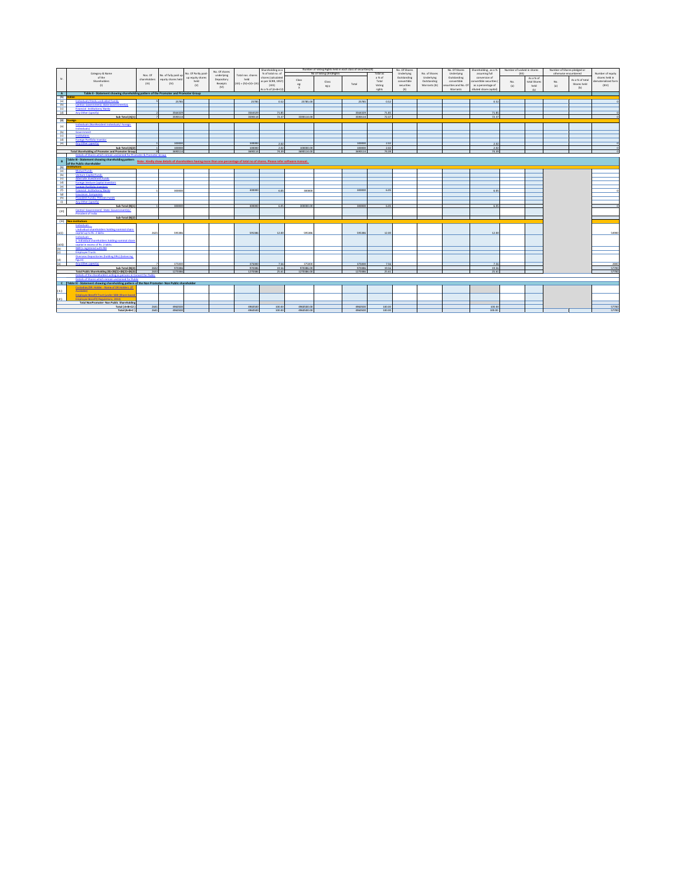|                              |                                                                                                                                                                                                                |              |                      |                     |               |                            | Shareholding as a  | Number of Voting Rights held in each class of securities(IX) |                           |         |                 | No. Of Shares |               | No. Of Shares       | Shareholding, as a %   | Number of Locked in shares |              | Number of Shares pledged or |                 |                    |
|------------------------------|----------------------------------------------------------------------------------------------------------------------------------------------------------------------------------------------------------------|--------------|----------------------|---------------------|---------------|----------------------------|--------------------|--------------------------------------------------------------|---------------------------|---------|-----------------|---------------|---------------|---------------------|------------------------|----------------------------|--------------|-----------------------------|-----------------|--------------------|
|                              | Category & Name                                                                                                                                                                                                |              |                      | do. Of Partly paid- | No. Of shares |                            | % of total no. of  |                                                              | No of Voting (XIV) hights |         | <b>Total as</b> | Underlying    | No. of Shares | Underlying          | assuming full          | pan                        |              | otherwise encumbered        |                 | Number of equity   |
|                              | of the                                                                                                                                                                                                         | Nos. Of      | No. of fully paid up | up equity shares    | underlying    | Total nos, shares          | shares (calculated |                                                              |                           |         | a% of           | Outstanding   | Underlying    | Outstanding         | conversion of          |                            | As a % of    |                             |                 | shares held in     |
| Sr.                          | Shareholders                                                                                                                                                                                                   | shareholders | equity shares held   | held                | Depository    | held                       | as per SCRR, 1957) | Class                                                        | Class                     |         | Total           | convertible   | Outstanding   | convertible         | convertible securities | No.                        | total Shares | No.                         | As a % of total | ematerialized form |
|                              | (0)                                                                                                                                                                                                            | (III)        | (IV)                 | $W$                 | Receipts      | $[VI] = [IV] + [V] + [VI]$ | $($ VIII)          | $\epsilon_{\rm E}$                                           |                           | Total   | Voting          | securities    | Warrants (Xi) | ecurities and No. O | as a percentage of     | (a)                        | held         | (a)                         | Shares held     | (DIV)              |
|                              |                                                                                                                                                                                                                |              |                      |                     | (VI)          |                            | As a % of (A+B+C2) | $\mathbf{x}$                                                 | egy                       |         | rights          | (x)           |               | Warrants            | diluted share capital] |                            | (b)          |                             | (b)             |                    |
| $\overline{A}$               | Table II - Statement showing shareholding pattern of the Promoter and Promoter Group                                                                                                                           |              |                      |                     |               |                            |                    |                                                              |                           |         |                 |               |               |                     |                        |                            |              |                             |                 |                    |
| $(1)$ Indian                 |                                                                                                                                                                                                                |              |                      |                     |               |                            |                    |                                                              |                           |         |                 |               |               |                     |                        |                            |              |                             |                 |                    |
| (a)                          | Individuals/Hindu undivided Family                                                                                                                                                                             |              | 25785                |                     |               | 25785                      | 0.52               | 25785.00                                                     |                           | 25785   | 0.52            |               |               |                     | 0.52                   |                            |              |                             |                 |                    |
| (b)                          | Central Government/ State Government(s)                                                                                                                                                                        |              |                      |                     |               |                            |                    |                                                              |                           |         |                 |               |               |                     |                        |                            |              |                             |                 |                    |
| (c)                          | Financial Institutions/ Banks                                                                                                                                                                                  |              |                      |                     |               |                            |                    |                                                              |                           |         |                 |               |               |                     |                        |                            |              |                             |                 |                    |
| (d)                          | Any Other (specify)                                                                                                                                                                                            |              | 3564329              |                     |               | 3564329                    | 71.85              |                                                              |                           | 3564329 | 71.85           |               |               |                     | 71.85                  |                            |              |                             |                 |                    |
|                              | Sub-Total (A)(1)                                                                                                                                                                                               |              | 3590114              |                     |               | 3590114                    | 22.37              | 3590114.00                                                   |                           | 3590114 | 72.37           |               |               |                     | 72.37                  |                            |              |                             |                 |                    |
| (2)                          | oreien                                                                                                                                                                                                         |              |                      |                     |               |                            |                    |                                                              |                           |         |                 |               |               |                     |                        |                            |              |                             |                 |                    |
|                              | Individuals (NonResident Individuals/ Foreien                                                                                                                                                                  |              |                      |                     |               |                            |                    |                                                              |                           |         |                 |               |               |                     |                        |                            |              |                             |                 |                    |
| $\{a\}$                      | Indianisatel                                                                                                                                                                                                   |              |                      |                     |               |                            |                    |                                                              |                           |         |                 |               |               |                     |                        |                            |              |                             |                 |                    |
| (b)                          | Governmen                                                                                                                                                                                                      |              |                      |                     |               |                            |                    |                                                              |                           |         |                 |               |               |                     |                        |                            |              |                             |                 |                    |
| (c)                          | Institutions                                                                                                                                                                                                   |              |                      |                     |               |                            |                    |                                                              |                           |         |                 |               |               |                     |                        |                            |              |                             |                 |                    |
| (d)                          | Foreign Portfolio Investor                                                                                                                                                                                     |              |                      |                     |               |                            |                    |                                                              |                           |         |                 |               |               |                     |                        |                            |              |                             |                 |                    |
| (e)                          | inv Other (specify)                                                                                                                                                                                            |              | 100000               |                     |               | 100000                     | 200                |                                                              |                           | 100000  | 2.02            |               |               |                     | 2.02                   |                            |              |                             |                 |                    |
|                              | Sub-Total (A)(2                                                                                                                                                                                                |              | 100000               |                     |               | 100000                     | 2.02               | 100000.0                                                     |                           | 100000  | 2.02            |               |               |                     | 2.02                   |                            |              |                             |                 |                    |
|                              | <b>Total Shareholding of Promoter and Promoter Group</b>                                                                                                                                                       |              | 3690114              |                     |               | 3690114                    | 74.39              | 3690114.00                                                   |                           | 3690114 | 74.39           |               |               |                     | 74.39                  |                            |              |                             |                 |                    |
|                              | Details of Shares which remain unclaimed for Promoter & Promoter Group                                                                                                                                         |              |                      |                     |               |                            |                    |                                                              |                           |         |                 |               |               |                     |                        |                            |              |                             |                 |                    |
|                              |                                                                                                                                                                                                                |              |                      |                     |               |                            |                    |                                                              |                           |         |                 |               |               |                     |                        |                            |              |                             |                 |                    |
| B                            | Table III - Statement showing shareholding pattern Note: Kindly show details of shareholders having more than one percentage of total no of shares. Please refer software manual.<br>of the Public shareholder |              |                      |                     |               |                            |                    |                                                              |                           |         |                 |               |               |                     |                        |                            |              |                             |                 |                    |
| (1)                          | nstitutions                                                                                                                                                                                                    |              |                      |                     |               |                            |                    |                                                              |                           |         |                 |               |               |                     |                        |                            |              |                             |                 |                    |
| (a)                          | <b>Mutual Funds</b>                                                                                                                                                                                            |              |                      |                     |               |                            |                    |                                                              |                           |         |                 |               |               |                     |                        |                            |              |                             |                 |                    |
| (b)                          | Venture Capital Funds                                                                                                                                                                                          |              |                      |                     |               |                            |                    |                                                              |                           |         |                 |               |               |                     |                        |                            |              |                             |                 |                    |
| (c)                          | Alternate Investment Funds                                                                                                                                                                                     |              |                      |                     |               |                            |                    |                                                              |                           |         |                 |               |               |                     |                        |                            |              |                             |                 |                    |
| (d)                          | Foreign Venture Capital Investor                                                                                                                                                                               |              |                      |                     |               |                            |                    |                                                              |                           |         |                 |               |               |                     |                        |                            |              |                             |                 |                    |
| (e)                          | Foreign Portfolio Investor                                                                                                                                                                                     |              |                      |                     |               |                            |                    |                                                              |                           |         |                 |               |               |                     |                        |                            |              |                             |                 |                    |
| (f)                          | Financial Institutions/Bank                                                                                                                                                                                    |              | 300000               |                     |               | 300000                     | 6.05               |                                                              |                           | 300000  | 6.05            |               |               |                     | 6.05                   |                            |              |                             |                 |                    |
| (g)                          | Insurance Companies                                                                                                                                                                                            |              |                      |                     |               |                            |                    | 300000                                                       |                           |         |                 |               |               |                     |                        |                            |              |                             |                 |                    |
| (h)                          | Provident Funds/ Pension Funds                                                                                                                                                                                 |              |                      |                     |               |                            |                    |                                                              |                           |         |                 |               |               |                     |                        |                            |              |                             |                 |                    |
| (i)                          | Any Other (specify)                                                                                                                                                                                            |              |                      |                     |               |                            |                    |                                                              |                           |         |                 |               |               |                     |                        |                            |              |                             |                 |                    |
|                              | Sub-Total (B)(1                                                                                                                                                                                                |              | 300000               |                     |               | 300000                     | 6.05               | 300000.00                                                    |                           | 300000  | 6.05            |               |               |                     | 6.05                   |                            |              |                             |                 |                    |
|                              | Central Government/ State Government(s)/                                                                                                                                                                       |              |                      |                     |               |                            |                    |                                                              |                           |         |                 |               |               |                     |                        |                            |              |                             |                 |                    |
| (2)                          | <b>Proditions of India</b>                                                                                                                                                                                     |              |                      |                     |               |                            |                    |                                                              |                           |         |                 |               |               |                     |                        |                            |              |                             |                 |                    |
|                              | Sub-Total (B)(2)                                                                                                                                                                                               |              |                      |                     |               |                            |                    |                                                              |                           |         |                 |               |               |                     |                        |                            |              |                             |                 |                    |
|                              | (3) Non-institutions                                                                                                                                                                                           |              |                      |                     |               |                            |                    |                                                              |                           |         |                 |               |               |                     |                        |                            |              |                             |                 |                    |
|                              | Individuals -                                                                                                                                                                                                  |              |                      |                     |               |                            |                    |                                                              |                           |         |                 |               |               |                     |                        |                            |              |                             |                 |                    |
|                              | <b>Undividual shareholders holding nominal share</b>                                                                                                                                                           |              |                      |                     |               |                            |                    |                                                              |                           |         |                 |               |               |                     |                        |                            |              |                             |                 |                    |
| (a(i))                       | capital up to Rs. 2 lakhs                                                                                                                                                                                      | 2625         | 59538                |                     |               | 595386                     | 12.00              | 595386                                                       |                           | 595386  | 12.00           |               |               |                     | 12.00                  |                            |              |                             |                 | 54900              |
|                              | Individuals -                                                                                                                                                                                                  |              |                      |                     |               |                            |                    |                                                              |                           |         |                 |               |               |                     |                        |                            |              |                             |                 |                    |
|                              | ii. Individual shareholders holding nominal shar-                                                                                                                                                              |              |                      |                     |               |                            |                    |                                                              |                           |         |                 |               |               |                     |                        |                            |              |                             |                 |                    |
|                              | capital in excess of Rs. 2 lakhs                                                                                                                                                                               |              |                      |                     |               |                            |                    |                                                              |                           |         |                 |               |               |                     |                        |                            |              |                             |                 |                    |
| $\frac{1}{\left( d \right)}$ | NBFCs registered with RBI                                                                                                                                                                                      |              |                      |                     |               |                            |                    |                                                              |                           |         |                 |               |               |                     |                        |                            |              |                             |                 |                    |
| (c)                          | <b>Employee Trusts</b>                                                                                                                                                                                         |              |                      |                     |               |                            |                    |                                                              |                           |         |                 |               |               |                     |                        |                            |              |                             |                 |                    |
|                              | Overseas Depositories (holding DRs) (balancin                                                                                                                                                                  |              |                      |                     |               |                            |                    |                                                              |                           |         |                 |               |               |                     |                        |                            |              |                             |                 |                    |
|                              | figural                                                                                                                                                                                                        |              |                      |                     |               |                            |                    |                                                              |                           |         |                 |               |               |                     |                        |                            |              |                             |                 |                    |
| $\frac{d}{b}$                | Any Other (specify)                                                                                                                                                                                            |              | 375000               |                     |               | 375000                     | 7.56               | 375000                                                       |                           | 375000  | 7.56            |               |               |                     | 7.56                   |                            |              |                             |                 | 2800               |
|                              | Sub-Total (B)(3                                                                                                                                                                                                | 2632         | 970386               |                     |               | 970386                     | 19.56              | 970386.00                                                    |                           | 970386  | 19.56           |               |               |                     | 19.56                  |                            |              |                             |                 | 57700              |
|                              | Total Public Shareholding (8)-(8)(1)+(8)(2)+(8)(3)                                                                                                                                                             | 2633         | 1270386              |                     |               | 1270386                    | 25.61              | 1270386.00                                                   |                           | 1270386 | 25.61           |               |               |                     | 25.61                  |                            |              |                             |                 | 57700              |
|                              | Details of the shareholders acting as persons in Concert for Public                                                                                                                                            |              |                      |                     |               |                            |                    |                                                              |                           |         |                 |               |               |                     |                        |                            |              |                             |                 |                    |
|                              | Details of Shares which remain unclaimed for Public                                                                                                                                                            |              |                      |                     |               |                            |                    |                                                              |                           |         |                 |               |               |                     |                        |                            |              |                             |                 |                    |
|                              | C Table IV - Statement showing shareholding pattern of the Non Promoter- Non Public shareholder                                                                                                                |              |                      |                     |               |                            |                    |                                                              |                           |         |                 |               |               |                     |                        |                            |              |                             |                 |                    |
|                              | Custodian/DR Holder - Name of DR Holders (If                                                                                                                                                                   |              |                      |                     |               |                            |                    |                                                              |                           |         |                 |               |               |                     |                        |                            |              |                             |                 |                    |
| (1)                          | Available                                                                                                                                                                                                      |              |                      |                     |               |                            |                    |                                                              |                           |         |                 |               |               |                     |                        |                            |              |                             |                 |                    |
|                              | Employee Benefit Trust funder SEBI (Share bases                                                                                                                                                                |              |                      |                     |               |                            |                    |                                                              |                           |         |                 |               |               |                     |                        |                            |              |                             |                 |                    |
| (2)                          | molovee Benefit) Regulations, 2014                                                                                                                                                                             |              |                      |                     |               |                            |                    |                                                              |                           |         |                 |               |               |                     |                        |                            |              |                             |                 |                    |
|                              | Total NonPromoter- Non Public Shareholdin                                                                                                                                                                      |              |                      |                     |               |                            |                    |                                                              |                           |         |                 |               |               |                     |                        |                            |              |                             |                 |                    |
|                              | Total (A+B+C2)                                                                                                                                                                                                 | 2641         | 4960500              |                     |               | 4960500                    | 100.00             | 4960500.0                                                    |                           | 4960500 | 100.00          |               |               |                     | 100.00                 |                            |              |                             |                 | 57700              |
|                              | Total (A+B+C)                                                                                                                                                                                                  | 2641         | 4960500              |                     |               | 4960500                    | 100.00             | 4960500.00                                                   |                           | 4960500 | 100.00          |               |               |                     | 100.00                 |                            |              |                             |                 | 57700              |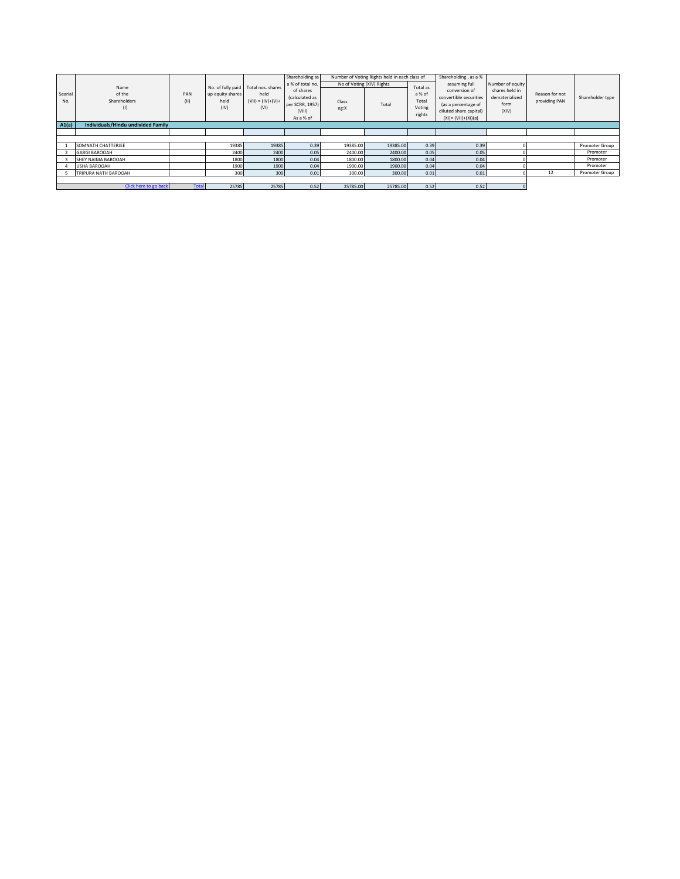|         |                                    |              |                   |                     | Shareholding as     |                           | Number of Voting Rights held in each class of |          | Shareholding, as a %                          |                  |                |                  |
|---------|------------------------------------|--------------|-------------------|---------------------|---------------------|---------------------------|-----------------------------------------------|----------|-----------------------------------------------|------------------|----------------|------------------|
|         | Name                               |              | No. of fully paid | Total nos, shares   | a % of total no.    | No of Voting (XIV) Rights |                                               | Total as | assuming full                                 | Number of equity |                |                  |
| Searial | of the                             | PAN          | up equity shares  | held                | of shares           |                           |                                               | a % of   | conversion of                                 | shares held in   | Reason for not |                  |
| No.     | Shareholders                       | (11)         | held              | $(VII) = (IV)+(V)+$ | (calculated as      | Class                     |                                               | Total    | convertible securities                        | dematerialized   | providing PAN  | Shareholder type |
|         | (1)                                |              | (IV)              | (VI)                | per SCRR, 1957)     | eg:X                      | Total                                         | Voting   | (as a percentage of<br>diluted share capital) | form<br>(XIV)    |                |                  |
|         |                                    |              |                   |                     | (VIII)<br>As a % of |                           |                                               | rights   | $(XI) = (VII)+(Xi)(a)$                        |                  |                |                  |
| A1(a)   | Individuals/Hindu undivided Family |              |                   |                     |                     |                           |                                               |          |                                               |                  |                |                  |
|         |                                    |              |                   |                     |                     |                           |                                               |          |                                               |                  |                |                  |
|         |                                    |              |                   |                     |                     |                           |                                               |          |                                               |                  |                |                  |
|         |                                    |              |                   |                     |                     |                           |                                               |          |                                               |                  |                |                  |
|         | SOMNATH CHATTERJEE                 |              | 19385             | 19385               | 0.39                | 19385.00                  | 19385.00                                      | 0.39     | 0.39                                          |                  |                | Promoter Group   |
|         | <b>GARGI BAROOAH</b>               |              | 2400              | 2400                | 0.05                | 2400.00                   | 2400.00                                       | 0.05     | 0.05                                          |                  |                | Promoter         |
|         | SHEY NAIMA BAROOAH                 |              | 1800              | 1800                | 0.04                | 1800.00                   | 1800.00                                       | 0.04     | 0.04                                          |                  |                | Promoter         |
|         | <b>USHA BAROOAH</b>                |              | 1900              | 1900                | 0.04                | 1900.00                   | 1900.00                                       | 0.04     | 0.04                                          |                  |                | Promoter         |
|         | TRIPURA NATH BAROOAH               |              | 300               | 300                 | 0.01                | 300.00                    | 300.00                                        | 0.01     | 0.01                                          |                  | 12             | Promoter Group   |
|         |                                    |              |                   |                     |                     |                           |                                               |          |                                               |                  |                |                  |
|         | Click here to go back              | <b>Total</b> | 25785             | 25785               | 0.52                | 25785.00                  | 25785.00                                      | 0.52     | 0.52                                          |                  |                |                  |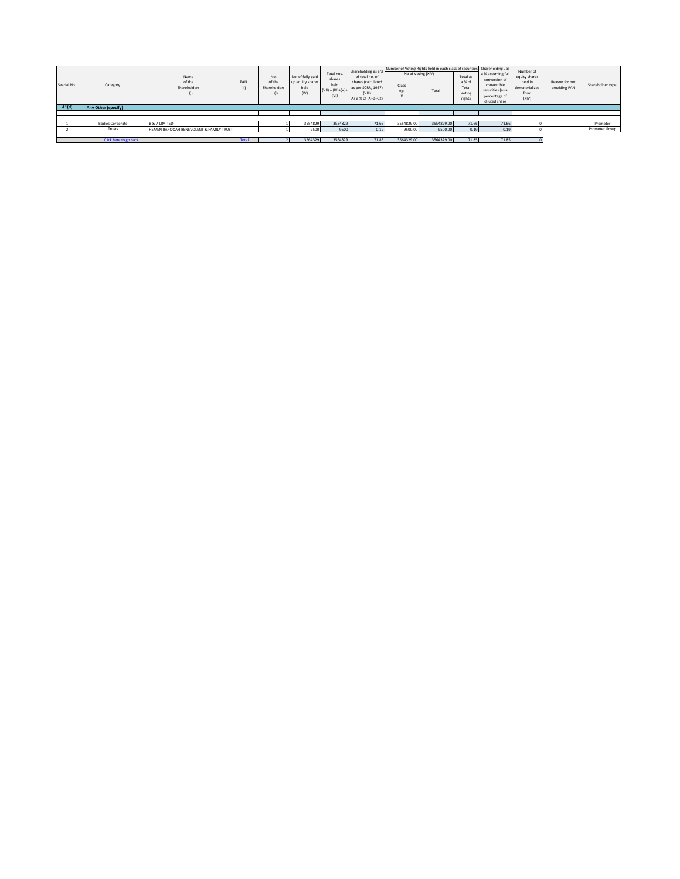| Searial No. | Category                | Name<br>of the<br>Shareholders          | PAN         | No.<br>of the<br>Shareholders | No. of fully paid<br>up equity shares<br>held<br>(IV) | Total nos.<br>shares<br>held<br>$(VII) = (IV)+(V)+$<br>(VI) | Shareholding as a %<br>of total no, of<br>shares (calculated<br>as per SCRR, 1957)<br>(VIII<br>As a % of (A+B+C2) | Number of Voting Rights held in each class of securities Shareholding, as<br>No of Voting (XIV)<br>Class<br>eg: | Total      | Total as<br>a % of<br>Total<br>Voting<br>rights | a % assuming full<br>conversion of<br>convertible<br>securities (as a<br>percentage of<br>diluted share | Number of<br>equity shares<br>held in<br>dematerialized<br>form<br>(XIV) | Reason for not<br>providing PAN | Shareholder type |
|-------------|-------------------------|-----------------------------------------|-------------|-------------------------------|-------------------------------------------------------|-------------------------------------------------------------|-------------------------------------------------------------------------------------------------------------------|-----------------------------------------------------------------------------------------------------------------|------------|-------------------------------------------------|---------------------------------------------------------------------------------------------------------|--------------------------------------------------------------------------|---------------------------------|------------------|
| A1(d)       | Any Other (specify)     |                                         |             |                               |                                                       |                                                             |                                                                                                                   |                                                                                                                 |            |                                                 |                                                                                                         |                                                                          |                                 |                  |
|             |                         |                                         |             |                               |                                                       |                                                             |                                                                                                                   |                                                                                                                 |            |                                                 |                                                                                                         |                                                                          |                                 |                  |
|             |                         |                                         |             |                               |                                                       |                                                             |                                                                                                                   |                                                                                                                 |            |                                                 |                                                                                                         |                                                                          |                                 |                  |
|             | <b>Bodies Corporate</b> | <b>B &amp; A LIMITED</b>                |             |                               | 3554829                                               | 3554829                                                     | 71.66                                                                                                             | 3554829.00                                                                                                      | 3554829.00 | 71.66                                           | 71.66                                                                                                   |                                                                          |                                 | Promoter         |
|             | Trusts                  | HEMEN BAROOAH BENEVOLENT & FAMILY TRUST |             |                               | 9500                                                  | 9500                                                        | 0.19                                                                                                              | 9500.00                                                                                                         | 9500.00    | 0.19                                            | 0.19                                                                                                    |                                                                          |                                 | Promoter Group   |
|             |                         |                                         |             |                               |                                                       |                                                             |                                                                                                                   |                                                                                                                 |            |                                                 |                                                                                                         |                                                                          |                                 |                  |
|             | Click here to go back   |                                         | <b>otal</b> |                               | 3564329                                               | 3564329                                                     | 71.85                                                                                                             | 3564329.00                                                                                                      | 3564329.00 | 71.85                                           | 71.85                                                                                                   |                                                                          |                                 |                  |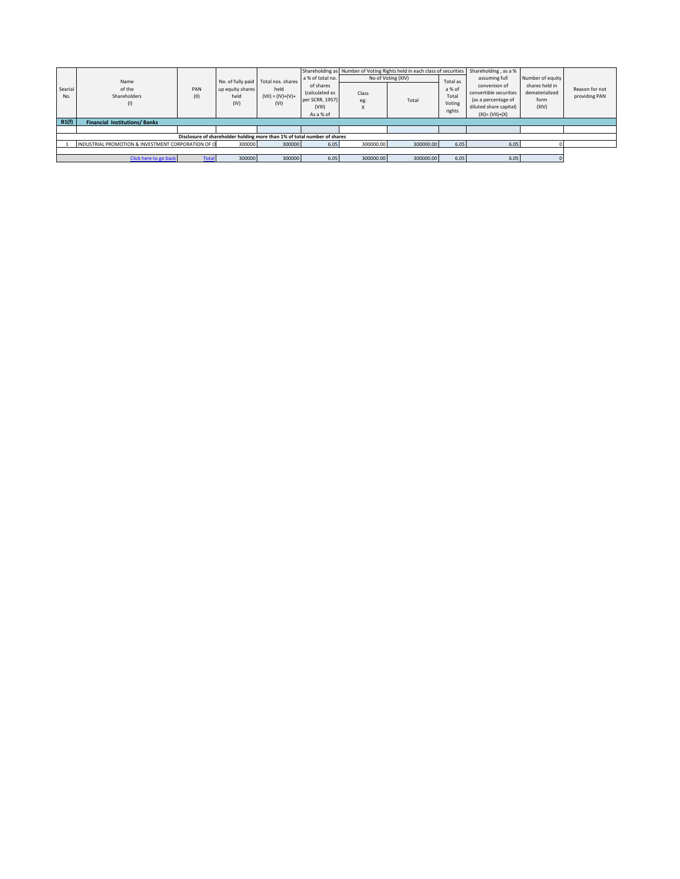|                                                                          |                                                    |              |                                     |                     |                           |           |                    |          | Shareholding as Number of Voting Rights held in each class of securities   Shareholding, as a % |                  |                |  |  |
|--------------------------------------------------------------------------|----------------------------------------------------|--------------|-------------------------------------|---------------------|---------------------------|-----------|--------------------|----------|-------------------------------------------------------------------------------------------------|------------------|----------------|--|--|
|                                                                          | Name                                               |              | No. of fully paid Total nos, shares |                     | a % of total no.          |           | No of Voting (XIV) | Total as | assuming full                                                                                   | Number of equity |                |  |  |
| Searial                                                                  | of the                                             | PAN          | up equity shares                    | held                | of shares                 |           |                    | a % of   | conversion of                                                                                   | shares held in   | Reason for not |  |  |
| No.                                                                      | Shareholders                                       | (11)         | held                                | $(VII) = (IV)+(V)+$ | (calculated as            | Class     |                    | Total    | convertible securities                                                                          | dematerialized   | providing PAN  |  |  |
|                                                                          | (1)                                                |              | (IV)                                | (VI)                | per SCRR, 1957)<br>(VIII) | eg:       | Total              | Voting   | (as a percentage of<br>diluted share capital)                                                   | form<br>(XIV)    |                |  |  |
|                                                                          |                                                    |              |                                     |                     | As a % of                 |           |                    | rights   | $(XI) = (VII)+(X)$                                                                              |                  |                |  |  |
|                                                                          | B1(f)<br><b>Financial Institutions/Banks</b>       |              |                                     |                     |                           |           |                    |          |                                                                                                 |                  |                |  |  |
|                                                                          |                                                    |              |                                     |                     |                           |           |                    |          |                                                                                                 |                  |                |  |  |
| Disclosure of shareholder holding more than 1% of total number of shares |                                                    |              |                                     |                     |                           |           |                    |          |                                                                                                 |                  |                |  |  |
|                                                                          | INDUSTRIAL PROMOTION & INVESTMENT CORPORATION OF O |              | 300000                              | 300000              | 6.05                      | 300000.00 | 300000.00          | 6.05     | 6.05                                                                                            |                  |                |  |  |
|                                                                          |                                                    |              |                                     |                     |                           |           |                    |          |                                                                                                 |                  |                |  |  |
|                                                                          | Click here to go back                              | <b>Total</b> | 300000                              | 300000              | 6.05                      | 300000.00 | 300000.00          | 6.05     | 6.05                                                                                            |                  |                |  |  |